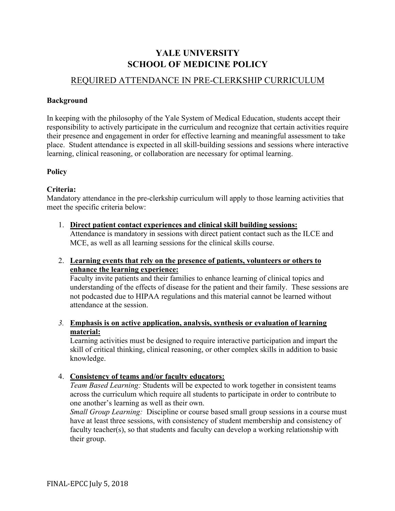# **YALE UNIVERSITY SCHOOL OF MEDICINE POLICY**

## REQUIRED ATTENDANCE IN PRE-CLERKSHIP CURRICULUM

## **Background**

In keeping with the philosophy of the Yale System of Medical Education, students accept their responsibility to actively participate in the curriculum and recognize that certain activities require their presence and engagement in order for effective learning and meaningful assessment to take place. Student attendance is expected in all skill-building sessions and sessions where interactive learning, clinical reasoning, or collaboration are necessary for optimal learning.

## **Policy**

## **Criteria:**

Mandatory attendance in the pre-clerkship curriculum will apply to those learning activities that meet the specific criteria below:

1. **Direct patient contact experiences and clinical skill building sessions:** Attendance is mandatory in sessions with direct patient contact such as the ILCE and MCE, as well as all learning sessions for the clinical skills course.

## 2. **Learning events that rely on the presence of patients, volunteers or others to enhance the learning experience:**

Faculty invite patients and their families to enhance learning of clinical topics and understanding of the effects of disease for the patient and their family. These sessions are not podcasted due to HIPAA regulations and this material cannot be learned without attendance at the session.

*3.* **Emphasis is on active application, analysis, synthesis or evaluation of learning material:**

Learning activities must be designed to require interactive participation and impart the skill of critical thinking, clinical reasoning, or other complex skills in addition to basic knowledge.

## 4. **Consistency of teams and/or faculty educators:**

*Team Based Learning:* Students will be expected to work together in consistent teams across the curriculum which require all students to participate in order to contribute to one another's learning as well as their own.

*Small Group Learning:* Discipline or course based small group sessions in a course must have at least three sessions, with consistency of student membership and consistency of faculty teacher(s), so that students and faculty can develop a working relationship with their group.